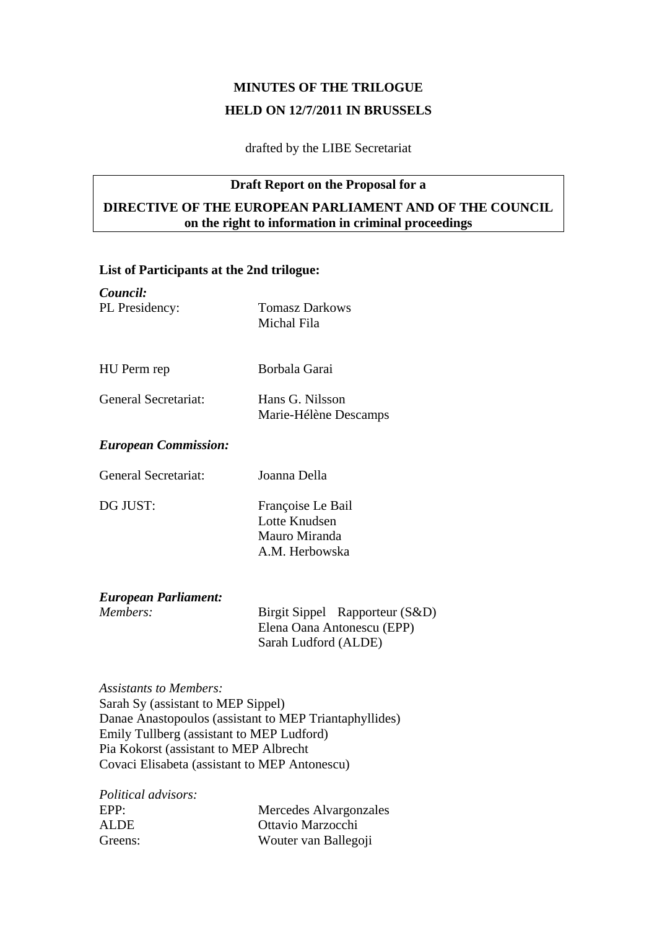# **MINUTES OF THE TRILOGUE HELD ON 12/7/2011 IN BRUSSELS**

drafted by the LIBE Secretariat

#### **Draft Report on the Proposal for a**

# **DIRECTIVE OF THE EUROPEAN PARLIAMENT AND OF THE COUNCIL on the right to information in criminal proceedings**

# **List of Participants at the 2nd trilogue:**

| Council:                    |                                      |
|-----------------------------|--------------------------------------|
| PL Presidency:              | <b>Tomasz Darkows</b><br>Michal Fila |
|                             |                                      |
| HU Perm rep                 | Borbala Garai                        |
| General Secretariat:        | Hans G. Nilsson                      |
|                             | Marie-Hélène Descamps                |
| <b>European Commission:</b> |                                      |
| General Secretariat:        | Joanna Della                         |
| DG JUST:                    | Françoise Le Bail                    |
|                             | Lotte Knudsen                        |
|                             | Mauro Miranda                        |
|                             | A.M. Herbowska                       |
| <b>European Parliament:</b> |                                      |
| Members:                    | Birgit Sippel Rapporteur (S&D)       |
|                             | Elena Oana Antonescu (EPP)           |
|                             | Sarah Ludford (ALDE)                 |
|                             |                                      |

*Assistants to Members:*  Sarah Sy (assistant to MEP Sippel) Danae Anastopoulos (assistant to MEP Triantaphyllides) Emily Tullberg (assistant to MEP Ludford) Pia Kokorst (assistant to MEP Albrecht Covaci Elisabeta (assistant to MEP Antonescu)

| <i>Political advisors:</i> |                        |
|----------------------------|------------------------|
| EPP:                       | Mercedes Alvargonzales |
| ALDE.                      | Ottavio Marzocchi      |
| Greens:                    | Wouter van Ballegoji   |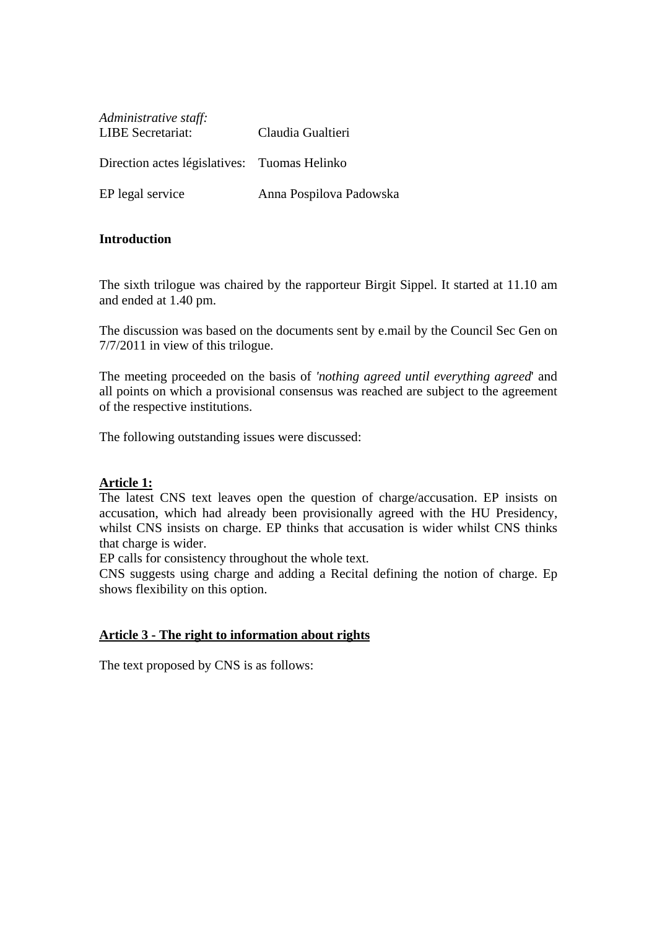| Administrative staff:<br><b>LIBE</b> Secretariat: | Claudia Gualtieri       |
|---------------------------------------------------|-------------------------|
| Direction actes législatives: Tuomas Helinko      |                         |
| EP legal service                                  | Anna Pospilova Padowska |

## **Introduction**

The sixth trilogue was chaired by the rapporteur Birgit Sippel. It started at 11.10 am and ended at 1.40 pm.

The discussion was based on the documents sent by e.mail by the Council Sec Gen on 7/7/2011 in view of this trilogue.

The meeting proceeded on the basis of *'nothing agreed until everything agreed*' and all points on which a provisional consensus was reached are subject to the agreement of the respective institutions.

The following outstanding issues were discussed:

#### **Article 1:**

The latest CNS text leaves open the question of charge/accusation. EP insists on accusation, which had already been provisionally agreed with the HU Presidency, whilst CNS insists on charge. EP thinks that accusation is wider whilst CNS thinks that charge is wider.

EP calls for consistency throughout the whole text.

CNS suggests using charge and adding a Recital defining the notion of charge. Ep shows flexibility on this option.

#### **Article 3 - The right to information about rights**

The text proposed by CNS is as follows: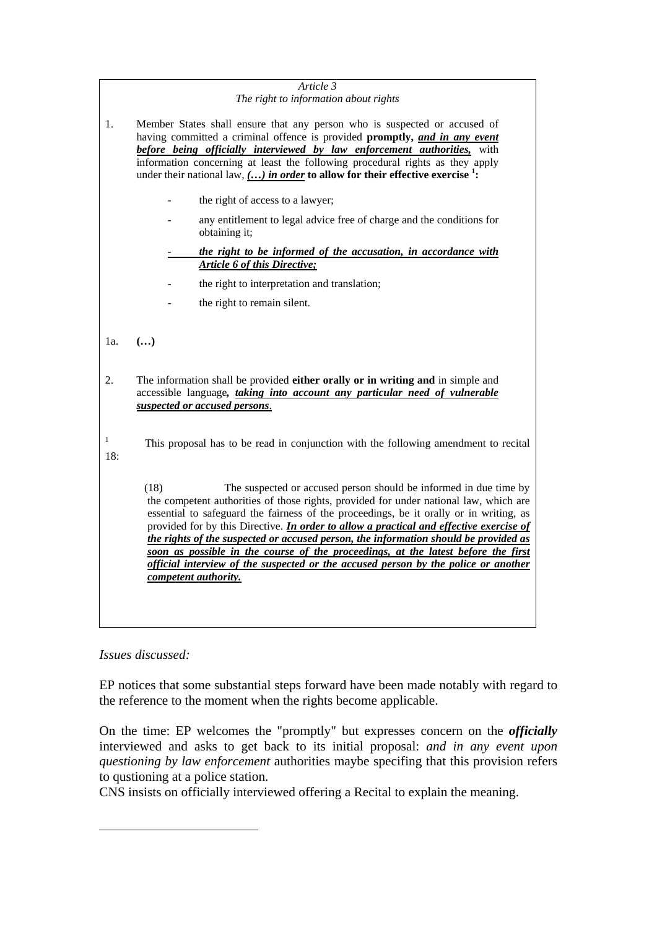|                     | Article 3<br>The right to information about rights                                                                                                                                                                                                                                                                                                                                                                                                                                                                                                                                                                                                        |
|---------------------|-----------------------------------------------------------------------------------------------------------------------------------------------------------------------------------------------------------------------------------------------------------------------------------------------------------------------------------------------------------------------------------------------------------------------------------------------------------------------------------------------------------------------------------------------------------------------------------------------------------------------------------------------------------|
|                     |                                                                                                                                                                                                                                                                                                                                                                                                                                                                                                                                                                                                                                                           |
| 1.                  | Member States shall ensure that any person who is suspected or accused of<br>having committed a criminal offence is provided promptly, and in any event<br>before being officially interviewed by law enforcement authorities, with<br>information concerning at least the following procedural rights as they apply<br>under their national law, $\left(\ldots\right)$ in order to allow for their effective exercise <sup>1</sup> :                                                                                                                                                                                                                     |
|                     | the right of access to a lawyer;                                                                                                                                                                                                                                                                                                                                                                                                                                                                                                                                                                                                                          |
|                     | any entitlement to legal advice free of charge and the conditions for<br>obtaining it;                                                                                                                                                                                                                                                                                                                                                                                                                                                                                                                                                                    |
|                     | the right to be informed of the accusation, in accordance with<br><b>Article 6 of this Directive;</b>                                                                                                                                                                                                                                                                                                                                                                                                                                                                                                                                                     |
|                     | the right to interpretation and translation;                                                                                                                                                                                                                                                                                                                                                                                                                                                                                                                                                                                                              |
|                     | the right to remain silent.                                                                                                                                                                                                                                                                                                                                                                                                                                                                                                                                                                                                                               |
|                     |                                                                                                                                                                                                                                                                                                                                                                                                                                                                                                                                                                                                                                                           |
| 1a.                 | $\left( \ldots \right)$                                                                                                                                                                                                                                                                                                                                                                                                                                                                                                                                                                                                                                   |
| 2.                  | The information shall be provided either orally or in writing and in simple and<br>accessible language, taking into account any particular need of vulnerable<br>suspected or accused persons.                                                                                                                                                                                                                                                                                                                                                                                                                                                            |
| $\mathbf{1}$<br>18: | This proposal has to be read in conjunction with the following amendment to recital                                                                                                                                                                                                                                                                                                                                                                                                                                                                                                                                                                       |
|                     | The suspected or accused person should be informed in due time by<br>(18)<br>the competent authorities of those rights, provided for under national law, which are<br>essential to safeguard the fairness of the proceedings, be it orally or in writing, as<br>provided for by this Directive. <i>In order to allow a practical and effective exercise of</i><br>the rights of the suspected or accused person, the information should be provided as<br>soon as possible in the course of the proceedings, at the latest before the first<br>official interview of the suspected or the accused person by the police or another<br>competent authority. |
|                     |                                                                                                                                                                                                                                                                                                                                                                                                                                                                                                                                                                                                                                                           |

# *Issues discussed:*

1

EP notices that some substantial steps forward have been made notably with regard to the reference to the moment when the rights become applicable.

On the time: EP welcomes the "promptly" but expresses concern on the *officially* interviewed and asks to get back to its initial proposal: *and in any event upon questioning by law enforcement* authorities maybe specifing that this provision refers to qustioning at a police station.

CNS insists on officially interviewed offering a Recital to explain the meaning.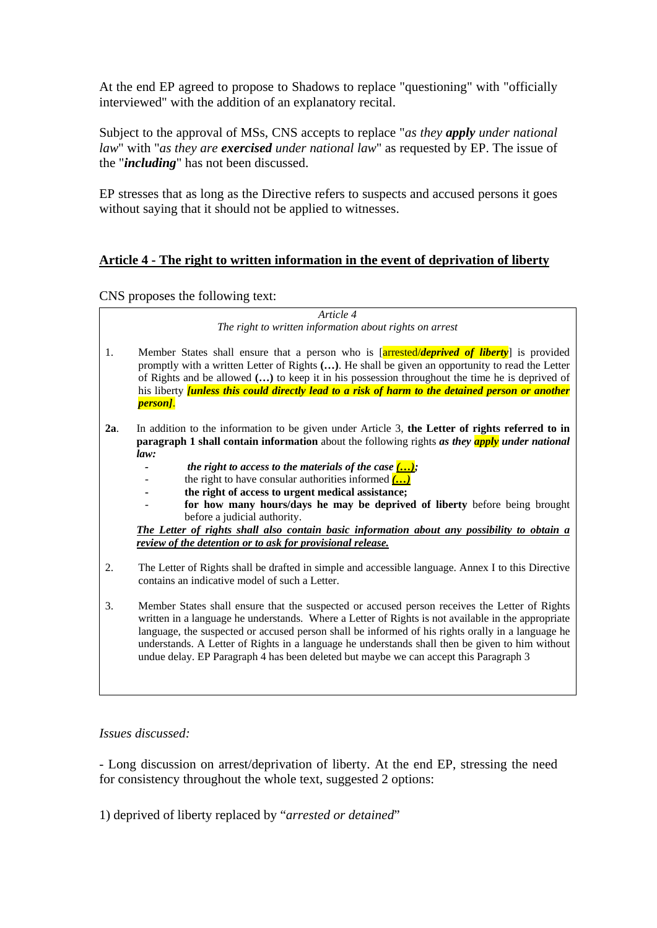At the end EP agreed to propose to Shadows to replace "questioning" with "officially interviewed" with the addition of an explanatory recital.

Subject to the approval of MSs, CNS accepts to replace "*as they apply under national law*" with "*as they are exercised under national law*" as requested by EP. The issue of the "*including*" has not been discussed.

EP stresses that as long as the Directive refers to suspects and accused persons it goes without saying that it should not be applied to witnesses.

# **Article 4 - The right to written information in the event of deprivation of liberty**

CNS proposes the following text:

|     | Article 4                                                                                                                                                                                                                                                                                                                                                                                                                                                                                            |
|-----|------------------------------------------------------------------------------------------------------------------------------------------------------------------------------------------------------------------------------------------------------------------------------------------------------------------------------------------------------------------------------------------------------------------------------------------------------------------------------------------------------|
|     | The right to written information about rights on arrest                                                                                                                                                                                                                                                                                                                                                                                                                                              |
| 1.  | Member States shall ensure that a person who is [arrested/deprived of liberty] is provided<br>promptly with a written Letter of Rights (). He shall be given an opportunity to read the Letter<br>of Rights and be allowed () to keep it in his possession throughout the time he is deprived of<br>his liberty <i>[unless this could directly lead to a risk of harm to the detained person or another</i><br>person].                                                                              |
| 2a. | In addition to the information to be given under Article 3, the Letter of rights referred to in<br>paragraph 1 shall contain information about the following rights as they apply under national<br>law:                                                                                                                                                                                                                                                                                             |
|     | the right to access to the materials of the case $\langle \ldots \rangle$ ;<br>the right to have consular authorities informed $\overline{(\ldots)}$<br>the right of access to urgent medical assistance;                                                                                                                                                                                                                                                                                            |
|     | for how many hours/days he may be deprived of liberty before being brought<br>before a judicial authority.                                                                                                                                                                                                                                                                                                                                                                                           |
|     | The Letter of rights shall also contain basic information about any possibility to obtain a                                                                                                                                                                                                                                                                                                                                                                                                          |
|     | review of the detention or to ask for provisional release.                                                                                                                                                                                                                                                                                                                                                                                                                                           |
| 2.  | The Letter of Rights shall be drafted in simple and accessible language. Annex I to this Directive<br>contains an indicative model of such a Letter.                                                                                                                                                                                                                                                                                                                                                 |
| 3.  | Member States shall ensure that the suspected or accused person receives the Letter of Rights<br>written in a language he understands. Where a Letter of Rights is not available in the appropriate<br>language, the suspected or accused person shall be informed of his rights orally in a language he<br>understands. A Letter of Rights in a language he understands shall then be given to him without<br>undue delay. EP Paragraph 4 has been deleted but maybe we can accept this Paragraph 3 |
|     |                                                                                                                                                                                                                                                                                                                                                                                                                                                                                                      |

## *Issues discussed:*

- Long discussion on arrest/deprivation of liberty. At the end EP, stressing the need for consistency throughout the whole text, suggested 2 options:

1) deprived of liberty replaced by "*arrested or detained*"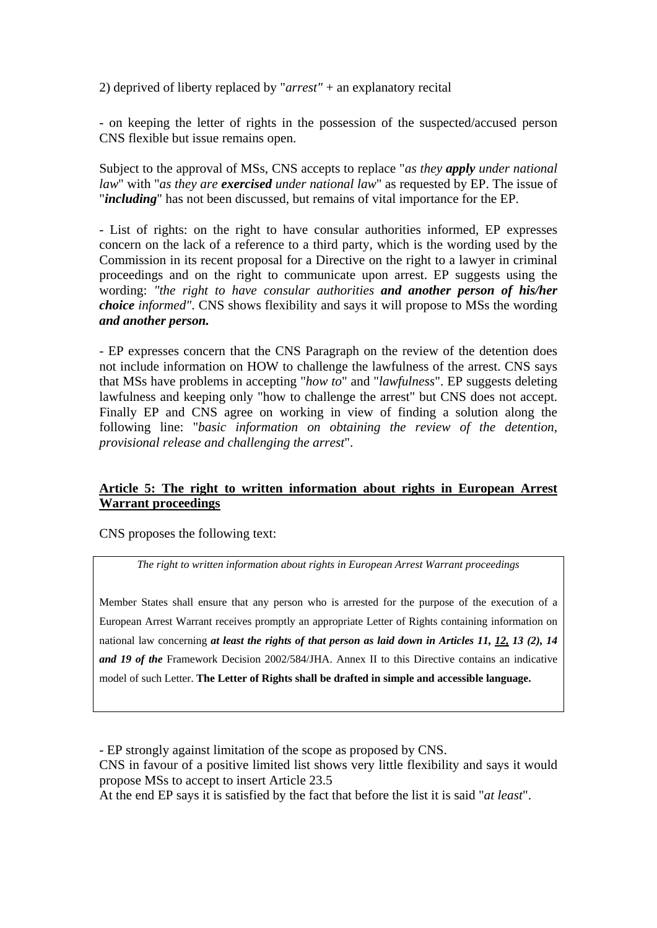2) deprived of liberty replaced by "*arrest"* + an explanatory recital

- on keeping the letter of rights in the possession of the suspected/accused person CNS flexible but issue remains open.

Subject to the approval of MSs, CNS accepts to replace "*as they apply under national law*" with "*as they are exercised under national law*" as requested by EP. The issue of "*including*" has not been discussed, but remains of vital importance for the EP.

- List of rights: on the right to have consular authorities informed, EP expresses concern on the lack of a reference to a third party, which is the wording used by the Commission in its recent proposal for a Directive on the right to a lawyer in criminal proceedings and on the right to communicate upon arrest. EP suggests using the wording: *"the right to have consular authorities and another person of his/her choice informed"*. CNS shows flexibility and says it will propose to MSs the wording *and another person.*

- EP expresses concern that the CNS Paragraph on the review of the detention does not include information on HOW to challenge the lawfulness of the arrest. CNS says that MSs have problems in accepting "*how to*" and "*lawfulness*". EP suggests deleting lawfulness and keeping only "how to challenge the arrest" but CNS does not accept. Finally EP and CNS agree on working in view of finding a solution along the following line: "*basic information on obtaining the review of the detention, provisional release and challenging the arrest*".

## **Article 5: The right to written information about rights in European Arrest Warrant proceedings**

CNS proposes the following text:

*The right to written information about rights in European Arrest Warrant proceedings* 

Member States shall ensure that any person who is arrested for the purpose of the execution of a European Arrest Warrant receives promptly an appropriate Letter of Rights containing information on national law concerning *at least the rights of that person as laid down in Articles 11, 12, 13 (2), 14 and 19 of the* Framework Decision 2002/584/JHA. Annex II to this Directive contains an indicative model of such Letter. **The Letter of Rights shall be drafted in simple and accessible language.** 

- EP strongly against limitation of the scope as proposed by CNS.

CNS in favour of a positive limited list shows very little flexibility and says it would propose MSs to accept to insert Article 23.5

At the end EP says it is satisfied by the fact that before the list it is said "*at least*".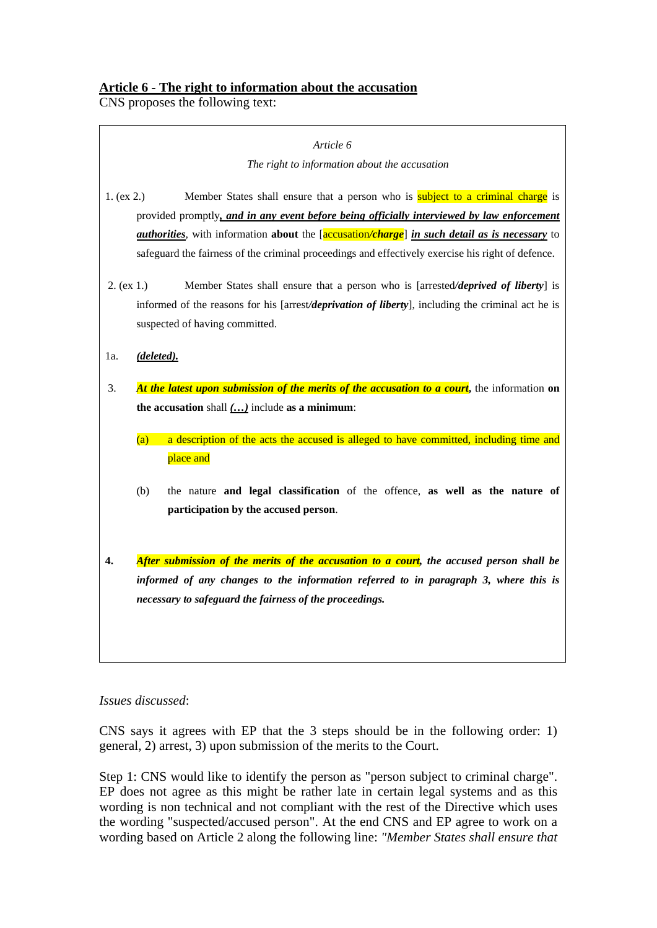CNS proposes the following text:

|            | Article 6                                                                                                                                                                                                                                                                                                                                                                                          |
|------------|----------------------------------------------------------------------------------------------------------------------------------------------------------------------------------------------------------------------------------------------------------------------------------------------------------------------------------------------------------------------------------------------------|
|            | The right to information about the accusation                                                                                                                                                                                                                                                                                                                                                      |
| 1. (ex 2.) | Member States shall ensure that a person who is <b>subject to a criminal charge</b> is<br>provided promptly, and in any event before being officially interviewed by law enforcement<br><i>authorities</i> , with information about the [accusation/charge] in such detail as is necessary to<br>safeguard the fairness of the criminal proceedings and effectively exercise his right of defence. |
| 2. (ex 1.) | Member States shall ensure that a person who is [arrested/deprived of liberty] is<br>informed of the reasons for his [arrest/deprivation of liberty], including the criminal act he is<br>suspected of having committed.                                                                                                                                                                           |
| 1a.        | (deleted).                                                                                                                                                                                                                                                                                                                                                                                         |
| 3.         | At the latest upon submission of the merits of the accusation to a court, the information on<br>the accusation shall $()$ include as a minimum:<br>a description of the acts the accused is alleged to have committed, including time and<br>(a)<br>place and                                                                                                                                      |
|            | the nature and legal classification of the offence, as well as the nature of<br>(b)<br>participation by the accused person.                                                                                                                                                                                                                                                                        |
| 4.         | After submission of the merits of the accusation to a court, the accused person shall be<br>informed of any changes to the information referred to in paragraph 3, where this is<br>necessary to safeguard the fairness of the proceedings.                                                                                                                                                        |
|            |                                                                                                                                                                                                                                                                                                                                                                                                    |

## *Issues discussed*:

CNS says it agrees with EP that the 3 steps should be in the following order: 1) general, 2) arrest, 3) upon submission of the merits to the Court.

Step 1: CNS would like to identify the person as "person subject to criminal charge". EP does not agree as this might be rather late in certain legal systems and as this wording is non technical and not compliant with the rest of the Directive which uses the wording "suspected/accused person". At the end CNS and EP agree to work on a wording based on Article 2 along the following line: *"Member States shall ensure that*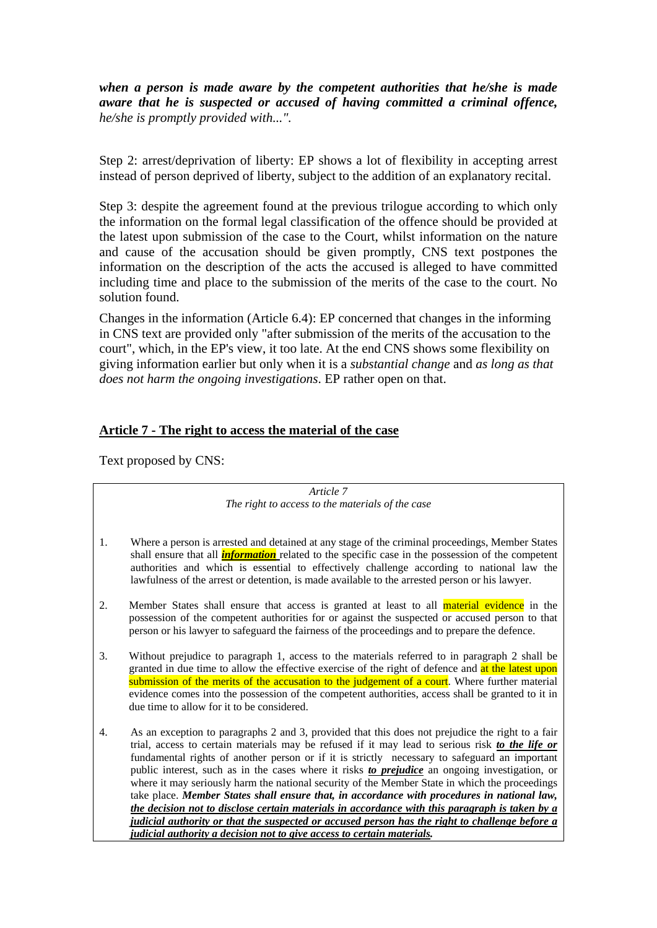*when a person is made aware by the competent authorities that he/she is made aware that he is suspected or accused of having committed a criminal offence, he/she is promptly provided with...".* 

Step 2: arrest/deprivation of liberty: EP shows a lot of flexibility in accepting arrest instead of person deprived of liberty, subject to the addition of an explanatory recital.

Step 3: despite the agreement found at the previous trilogue according to which only the information on the formal legal classification of the offence should be provided at the latest upon submission of the case to the Court, whilst information on the nature and cause of the accusation should be given promptly, CNS text postpones the information on the description of the acts the accused is alleged to have committed including time and place to the submission of the merits of the case to the court. No solution found.

Changes in the information (Article 6.4): EP concerned that changes in the informing in CNS text are provided only "after submission of the merits of the accusation to the court", which, in the EP's view, it too late. At the end CNS shows some flexibility on giving information earlier but only when it is a *substantial change* and *as long as that does not harm the ongoing investigations*. EP rather open on that.

#### **Article 7 - The right to access the material of the case**

Text proposed by CNS:

*Article 7 The right to access to the materials of the case* 

- 1. Where a person is arrested and detained at any stage of the criminal proceedings, Member States shall ensure that all *information* related to the specific case in the possession of the competent authorities and which is essential to effectively challenge according to national law the lawfulness of the arrest or detention, is made available to the arrested person or his lawyer.
- 2. Member States shall ensure that access is granted at least to all material evidence in the possession of the competent authorities for or against the suspected or accused person to that person or his lawyer to safeguard the fairness of the proceedings and to prepare the defence.
- 3. Without prejudice to paragraph 1, access to the materials referred to in paragraph 2 shall be granted in due time to allow the effective exercise of the right of defence and at the latest upon submission of the merits of the accusation to the judgement of a court. Where further material evidence comes into the possession of the competent authorities, access shall be granted to it in due time to allow for it to be considered.
- 4. As an exception to paragraphs 2 and 3, provided that this does not prejudice the right to a fair trial, access to certain materials may be refused if it may lead to serious risk *to the life or* fundamental rights of another person or if it is strictly necessary to safeguard an important public interest, such as in the cases where it risks *to prejudice* an ongoing investigation, or where it may seriously harm the national security of the Member State in which the proceedings take place. *Member States shall ensure that, in accordance with procedures in national law, the decision not to disclose certain materials in accordance with this paragraph is taken by a judicial authority or that the suspected or accused person has the right to challenge before a judicial authority a decision not to give access to certain materials.*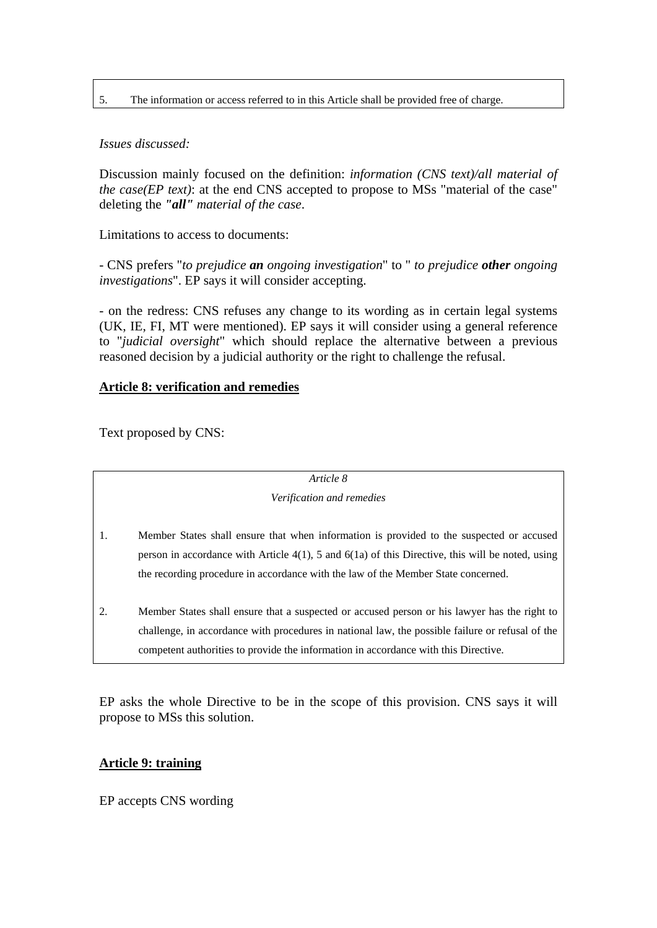#### 5. The information or access referred to in this Article shall be provided free of charge.

## *Issues discussed:*

Discussion mainly focused on the definition: *information (CNS text)/all material of the case(EP text)*: at the end CNS accepted to propose to MSs "material of the case" deleting the *"all" material of the case*.

Limitations to access to documents:

- CNS prefers "*to prejudice an ongoing investigation*" to " *to prejudice other ongoing investigations*". EP says it will consider accepting.

- on the redress: CNS refuses any change to its wording as in certain legal systems (UK, IE, FI, MT were mentioned). EP says it will consider using a general reference to "*judicial oversight*" which should replace the alternative between a previous reasoned decision by a judicial authority or the right to challenge the refusal.

## **Article 8: verification and remedies**

Text proposed by CNS:

*Article 8* 

#### *Verification and remedies*

- 1. Member States shall ensure that when information is provided to the suspected or accused person in accordance with Article 4(1), 5 and 6(1a) of this Directive, this will be noted, using the recording procedure in accordance with the law of the Member State concerned.
- 2. Member States shall ensure that a suspected or accused person or his lawyer has the right to challenge, in accordance with procedures in national law, the possible failure or refusal of the competent authorities to provide the information in accordance with this Directive.

EP asks the whole Directive to be in the scope of this provision. CNS says it will propose to MSs this solution.

#### **Article 9: training**

EP accepts CNS wording